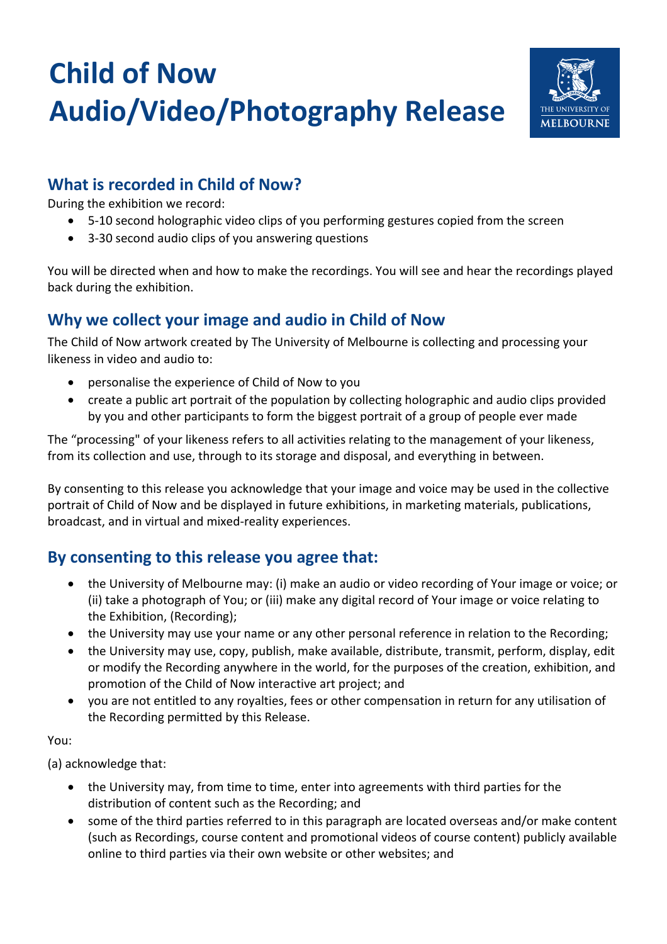# **Child of Now Audio/Video/Photography Release**



## **What is recorded in Child of Now?**

During the exhibition we record:

- 5-10 second holographic video clips of you performing gestures copied from the screen
- 3-30 second audio clips of you answering questions

You will be directed when and how to make the recordings. You will see and hear the recordings played back during the exhibition.

# **Why we collect your image and audio in Child of Now**

The Child of Now artwork created by The University of Melbourne is collecting and processing your likeness in video and audio to:

- personalise the experience of Child of Now to you
- create a public art portrait of the population by collecting holographic and audio clips provided by you and other participants to form the biggest portrait of a group of people ever made

The "processing" of your likeness refers to all activities relating to the management of your likeness, from its collection and use, through to its storage and disposal, and everything in between.

By consenting to this release you acknowledge that your image and voice may be used in the collective portrait of Child of Now and be displayed in future exhibitions, in marketing materials, publications, broadcast, and in virtual and mixed-reality experiences.

# **By consenting to this release you agree that:**

- the University of Melbourne may: (i) make an audio or video recording of Your image or voice; or (ii) take a photograph of You; or (iii) make any digital record of Your image or voice relating to the Exhibition, (Recording);
- the University may use your name or any other personal reference in relation to the Recording;
- the University may use, copy, publish, make available, distribute, transmit, perform, display, edit or modify the Recording anywhere in the world, for the purposes of the creation, exhibition, and promotion of the Child of Now interactive art project; and
- you are not entitled to any royalties, fees or other compensation in return for any utilisation of the Recording permitted by this Release.

You:

(a) acknowledge that:

- the University may, from time to time, enter into agreements with third parties for the distribution of content such as the Recording; and
- some of the third parties referred to in this paragraph are located overseas and/or make content (such as Recordings, course content and promotional videos of course content) publicly available online to third parties via their own website or other websites; and